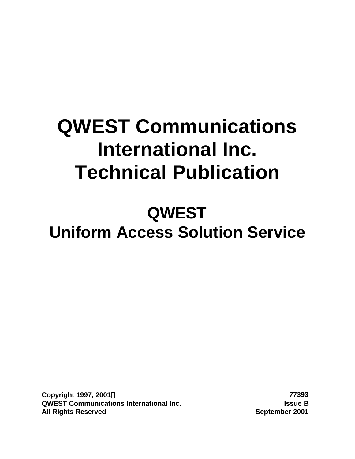# **QWEST Communications International Inc. Technical Publication**

# **QWEST Uniform Access Solution Service**

**Copyright 1997, 2001Ó 77393 QWEST Communications International Inc. Issue B All Rights Reserved September 2001**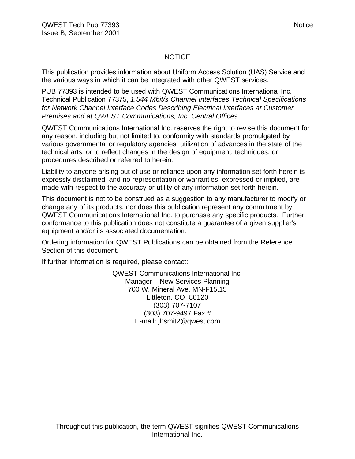### NOTICE

This publication provides information about Uniform Access Solution (UAS) Service and the various ways in which it can be integrated with other QWEST services.

PUB 77393 is intended to be used with QWEST Communications International Inc. Technical Publication 77375, *1.544 Mbit/s Channel Interfaces Technical Specifications for Network Channel Interface Codes Describing Electrical Interfaces at Customer Premises and at QWEST Communications, Inc. Central Offices.*

QWEST Communications International Inc. reserves the right to revise this document for any reason, including but not limited to, conformity with standards promulgated by various governmental or regulatory agencies; utilization of advances in the state of the technical arts; or to reflect changes in the design of equipment, techniques, or procedures described or referred to herein.

Liability to anyone arising out of use or reliance upon any information set forth herein is expressly disclaimed, and no representation or warranties, expressed or implied, are made with respect to the accuracy or utility of any information set forth herein.

This document is not to be construed as a suggestion to any manufacturer to modify or change any of its products, nor does this publication represent any commitment by QWEST Communications International Inc. to purchase any specific products. Further, conformance to this publication does not constitute a guarantee of a given supplier's equipment and/or its associated documentation.

Ordering information for QWEST Publications can be obtained from the Reference Section of this document.

If further information is required, please contact:

QWEST Communications International Inc. Manager – New Services Planning 700 W. Mineral Ave. MN-F15.15 Littleton, CO 80120 (303) 707-7107 (303) 707-9497 Fax # E-mail: jhsmit2@qwest.com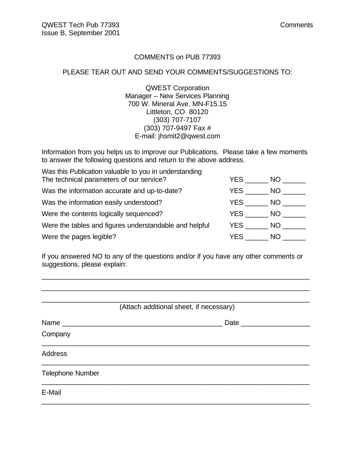### COMMENTS on PUB 77393

### PLEASE TEAR OUT AND SEND YOUR COMMENTS/SUGGESTIONS TO:

QWEST Corporation Manager – New Services Planning 700 W. Mineral Ave. MN-F15.15 Littleton, CO 80120 (303) 707-7107 (303) 707-9497 Fax # E-mail: jhsmit2@qwest.com

Information from you helps us to improve our Publications. Please take a few moments to answer the following questions and return to the above address.

| Was this Publication valuable to you in understanding  |      |      |
|--------------------------------------------------------|------|------|
| The technical parameters of our service?               | YES. | NO I |
| Was the information accurate and up-to-date?           | YES. | NO.  |
| Was the information easily understood?                 | YES  | NO I |
| Were the contents logically sequenced?                 | YES  | NO.  |
| Were the tables and figures understandable and helpful | YES  | NO . |
| Were the pages legible?                                | YES  | NO.  |

If you answered NO to any of the questions and/or if you have any other comments or suggestions, please explain:

\_\_\_\_\_\_\_\_\_\_\_\_\_\_\_\_\_\_\_\_\_\_\_\_\_\_\_\_\_\_\_\_\_\_\_\_\_\_\_\_\_\_\_\_\_\_\_\_\_\_\_\_\_\_\_\_\_\_\_\_\_\_\_\_\_\_\_\_\_\_ \_\_\_\_\_\_\_\_\_\_\_\_\_\_\_\_\_\_\_\_\_\_\_\_\_\_\_\_\_\_\_\_\_\_\_\_\_\_\_\_\_\_\_\_\_\_\_\_\_\_\_\_\_\_\_\_\_\_\_\_\_\_\_\_\_\_\_\_\_\_

| (Attach additional sheet, if necessary) |                     |  |  |
|-----------------------------------------|---------------------|--|--|
| Name                                    | Date ______________ |  |  |
| Company                                 |                     |  |  |
| <b>Address</b>                          |                     |  |  |
| <b>Telephone Number</b>                 |                     |  |  |
| E-Mail                                  |                     |  |  |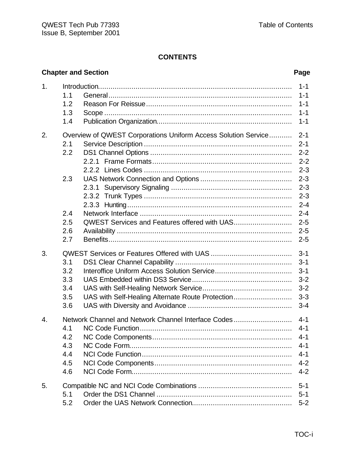|    |                                        | <b>Chapter and Section</b>                                     | Page                                                                                 |
|----|----------------------------------------|----------------------------------------------------------------|--------------------------------------------------------------------------------------|
| 1. | 1.1<br>1.2<br>1.3<br>1.4               |                                                                | $1 - 1$<br>$1 - 1$<br>$1 - 1$<br>$1 - 1$<br>$1 - 1$                                  |
| 2. | 2.1<br>2.2                             | Overview of QWEST Corporations Uniform Access Solution Service | $2 - 1$<br>$2 - 1$<br>$2 - 2$<br>$2 - 2$<br>$2 - 3$                                  |
|    | 2.3<br>2.4<br>2.5<br>2.6<br>2.7        | 2.3.1<br><b>QWEST Services and Features offered with UAS</b>   | $2 - 3$<br>$2 - 3$<br>$2 - 3$<br>$2 - 4$<br>$2 - 4$<br>$2 - 5$<br>$2 - 5$<br>$2 - 5$ |
| 3. | 3.1<br>3.2<br>3.3<br>3.4<br>3.5<br>3.6 | UAS with Self-Healing Alternate Route Protection               | $3 - 1$<br>$3 - 1$<br>$3 - 1$<br>$3 - 2$<br>$3 - 2$<br>$3 - 3$<br>$3 - 4$            |
| 4. | 4.1<br>4.2<br>4.3<br>4.4<br>4.5<br>4.6 | Network Channel and Network Channel Interface Codes            | $4 - 1$<br>$4 - 1$<br>$4 - 1$<br>$4 - 1$<br>$4 - 1$<br>$4 - 2$<br>$4 - 2$            |
| 5. | 5.1<br>5.2                             |                                                                | $5 - 1$<br>$5 - 1$<br>$5-2$                                                          |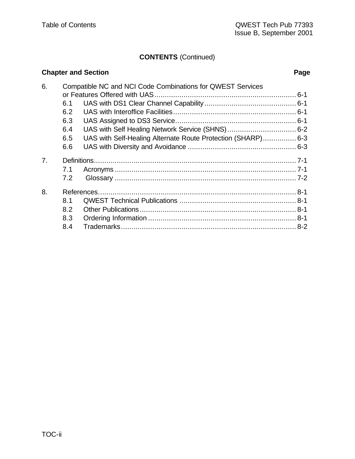# **CONTENTS** (Continued)

|    |     | <b>Chapter and Section</b>                                   | Page |
|----|-----|--------------------------------------------------------------|------|
| 6. |     | Compatible NC and NCI Code Combinations for QWEST Services   |      |
|    |     |                                                              |      |
|    | 6.1 |                                                              |      |
|    | 6.2 |                                                              |      |
|    | 6.3 |                                                              |      |
|    | 6.4 |                                                              |      |
|    | 6.5 | UAS with Self-Healing Alternate Route Protection (SHARP) 6-3 |      |
|    | 6.6 |                                                              |      |
| 7. |     |                                                              |      |
|    | 7.1 |                                                              |      |
|    | 7.2 |                                                              |      |
| 8. |     |                                                              |      |
|    | 8.1 |                                                              |      |
|    | 8.2 |                                                              |      |
|    | 8.3 |                                                              |      |
|    | 8.4 |                                                              |      |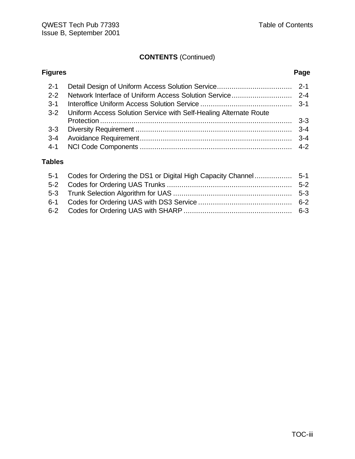# **CONTENTS** (Continued)

# **Figures Page** 2-1 Detail Design of Uniform Access Solution Service.................................... 2-1 2-2 Network Interface of Uniform Access Solution Service............................. 2-4 3-1 Interoffice Uniform Access Solution Service ............................................ 3-1 3-2 Uniform Access Solution Service with Self-Healing Alternate Route Protection ............................................................................................ 3-3 3-3 Diversity Requirement ........................................................................... 3-4 3-4 Avoidance Requirement......................................................................... 3-4 4-1 NCI Code Components ......................................................................... 4-2

### **Tables**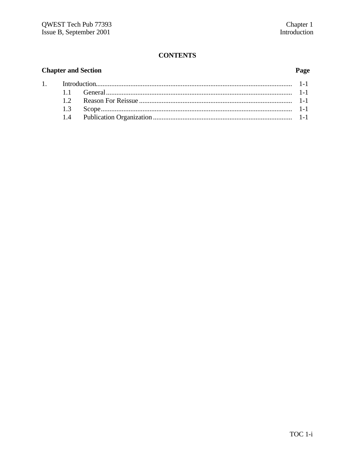# **Chapter and Section**

 $1.$ 

# Page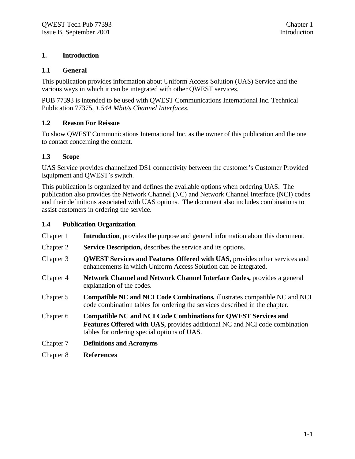### **1. Introduction**

### **1.1 General**

This publication provides information about Uniform Access Solution (UAS) Service and the various ways in which it can be integrated with other QWEST services.

PUB 77393 is intended to be used with QWEST Communications International Inc. Technical Publication 77375, *1.544 Mbit/s Channel Interfaces.*

### **1.2 Reason For Reissue**

To show QWEST Communications International Inc. as the owner of this publication and the one to contact concerning the content.

### **1.3 Scope**

UAS Service provides channelized DS1 connectivity between the customer's Customer Provided Equipment and QWEST's switch.

This publication is organized by and defines the available options when ordering UAS. The publication also provides the Network Channel (NC) and Network Channel Interface (NCI) codes and their definitions associated with UAS options. The document also includes combinations to assist customers in ordering the service.

### **1.4 Publication Organization**

| Chapter 1 | <b>Introduction</b> , provides the purpose and general information about this document.                                                                                                                   |
|-----------|-----------------------------------------------------------------------------------------------------------------------------------------------------------------------------------------------------------|
| Chapter 2 | Service Description, describes the service and its options.                                                                                                                                               |
| Chapter 3 | <b>QWEST Services and Features Offered with UAS, provides other services and</b><br>enhancements in which Uniform Access Solution can be integrated.                                                      |
| Chapter 4 | <b>Network Channel and Network Channel Interface Codes, provides a general</b><br>explanation of the codes.                                                                                               |
| Chapter 5 | Compatible NC and NCI Code Combinations, illustrates compatible NC and NCI<br>code combination tables for ordering the services described in the chapter.                                                 |
| Chapter 6 | <b>Compatible NC and NCI Code Combinations for QWEST Services and</b><br><b>Features Offered with UAS, provides additional NC and NCI code combination</b><br>tables for ordering special options of UAS. |
| Chapter 7 | <b>Definitions and Acronyms</b>                                                                                                                                                                           |
| Chapter 8 | <b>References</b>                                                                                                                                                                                         |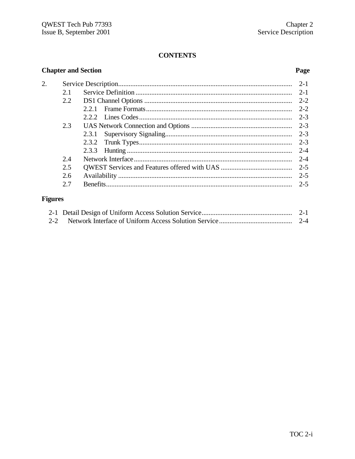| <b>Chapter and Section</b> |     |       | Page    |
|----------------------------|-----|-------|---------|
| 2.                         |     |       | $2 - 1$ |
|                            | 2.1 |       | $2 - 1$ |
|                            | 2.2 |       | $2 - 2$ |
|                            |     | 2.2.1 | $2 - 2$ |
|                            |     |       | $2 - 3$ |
|                            | 2.3 |       |         |
|                            |     | 2.3.1 |         |
|                            |     |       | $2 - 3$ |
|                            |     | 2.3.3 | $2 - 4$ |
|                            | 2.4 |       | $2 - 4$ |
|                            | 2.5 |       | $2 - 5$ |
|                            | 2.6 |       | $2 - 5$ |
|                            | 2.7 |       | $2 - 5$ |

# **Figures**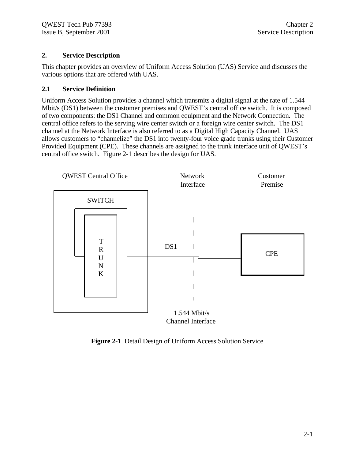### **2. Service Description**

This chapter provides an overview of Uniform Access Solution (UAS) Service and discusses the various options that are offered with UAS.

### **2.1 Service Definition**

Uniform Access Solution provides a channel which transmits a digital signal at the rate of 1.544 Mbit/s (DS1) between the customer premises and QWEST's central office switch. It is composed of two components: the DS1 Channel and common equipment and the Network Connection. The central office refers to the serving wire center switch or a foreign wire center switch. The DS1 channel at the Network Interface is also referred to as a Digital High Capacity Channel. UAS allows customers to "channelize" the DS1 into twenty-four voice grade trunks using their Customer Provided Equipment (CPE). These channels are assigned to the trunk interface unit of QWEST's central office switch. Figure 2-1 describes the design for UAS.



**Figure 2-1** Detail Design of Uniform Access Solution Service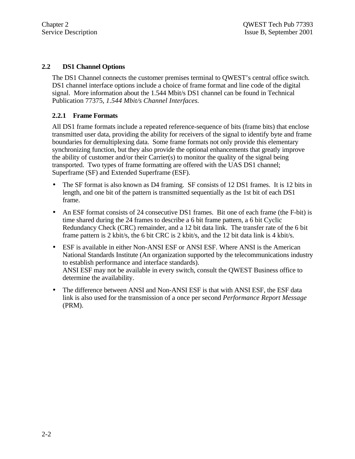### **2.2 DS1 Channel Options**

The DS1 Channel connects the customer premises terminal to QWEST's central office switch. DS1 channel interface options include a choice of frame format and line code of the digital signal. More information about the 1.544 Mbit/s DS1 channel can be found in Technical Publication 77375, *1.544 Mbit/s Channel Interfaces.*

### **2.2.1 Frame Formats**

All DS1 frame formats include a repeated reference-sequence of bits (frame bits) that enclose transmitted user data, providing the ability for receivers of the signal to identify byte and frame boundaries for demultiplexing data. Some frame formats not only provide this elementary synchronizing function, but they also provide the optional enhancements that greatly improve the ability of customer and/or their Carrier(s) to monitor the quality of the signal being transported. Two types of frame formatting are offered with the UAS DS1 channel; Superframe (SF) and Extended Superframe (ESF).

- The SF format is also known as D4 framing. SF consists of 12 DS1 frames. It is 12 bits in length, and one bit of the pattern is transmitted sequentially as the 1st bit of each DS1 frame.
- An ESF format consists of 24 consecutive DS1 frames. Bit one of each frame (the F-bit) is time shared during the 24 frames to describe a 6 bit frame pattern, a 6 bit Cyclic Redundancy Check (CRC) remainder, and a 12 bit data link. The transfer rate of the 6 bit frame pattern is 2 kbit/s, the 6 bit CRC is 2 kbit/s, and the 12 bit data link is 4 kbit/s.
- ESF is available in either Non-ANSI ESF or ANSI ESF. Where ANSI is the American National Standards Institute (An organization supported by the telecommunications industry to establish performance and interface standards). ANSI ESF may not be available in every switch, consult the QWEST Business office to determine the availability.
- The difference between ANSI and Non-ANSI ESF is that with ANSI ESF, the ESF data link is also used for the transmission of a once per second *Performance Report Message* (PRM).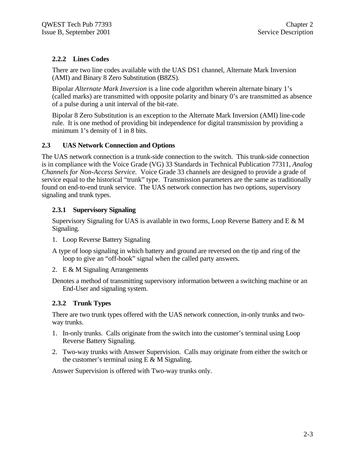# **2.2.2 Lines Codes**

There are two line codes available with the UAS DS1 channel, Alternate Mark Inversion (AMI) and Binary 8 Zero Substitution (B8ZS).

Bipolar *Alternate Mark Inversion* is a line code algorithm wherein alternate binary 1's (called marks) are transmitted with opposite polarity and binary 0's are transmitted as absence of a pulse during a unit interval of the bit-rate.

Bipolar 8 Zero Substitution is an exception to the Alternate Mark Inversion (AMI) line-code rule. It is one method of providing bit independence for digital transmission by providing a minimum 1's density of 1 in 8 bits.

### **2.3 UAS Network Connection and Options**

The UAS network connection is a trunk-side connection to the switch. This trunk-side connection is in compliance with the Voice Grade (VG) 33 Standards in Technical Publication 77311, *Analog Channels for Non-Access Service.* Voice Grade 33 channels are designed to provide a grade of service equal to the historical "trunk" type. Transmission parameters are the same as traditionally found on end-to-end trunk service. The UAS network connection has two options, supervisory signaling and trunk types.

### **2.3.1 Supervisory Signaling**

Supervisory Signaling for UAS is available in two forms, Loop Reverse Battery and  $E \& M$ Signaling.

1. Loop Reverse Battery Signaling

A type of loop signaling in which battery and ground are reversed on the tip and ring of the loop to give an "off-hook" signal when the called party answers.

2. E & M Signaling Arrangements

Denotes a method of transmitting supervisory information between a switching machine or an End-User and signaling system.

### **2.3.2 Trunk Types**

There are two trunk types offered with the UAS network connection, in-only trunks and twoway trunks.

- 1. In-only trunks. Calls originate from the switch into the customer's terminal using Loop Reverse Battery Signaling.
- 2. Two-way trunks with Answer Supervision. Calls may originate from either the switch or the customer's terminal using  $E \& M$  Signaling.

Answer Supervision is offered with Two-way trunks only.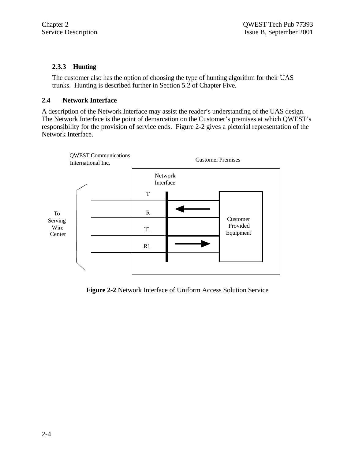### **2.3.3 Hunting**

The customer also has the option of choosing the type of hunting algorithm for their UAS trunks. Hunting is described further in Section 5.2 of Chapter Five.

### **2.4 Network Interface**

A description of the Network Interface may assist the reader's understanding of the UAS design. The Network Interface is the point of demarcation on the Customer's premises at which QWEST's responsibility for the provision of service ends. Figure 2-2 gives a pictorial representation of the Network Interface.



**Figure 2-2** Network Interface of Uniform Access Solution Service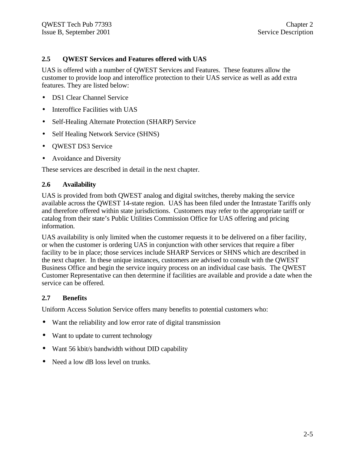### **2.5 QWEST Services and Features offered with UAS**

UAS is offered with a number of QWEST Services and Features. These features allow the customer to provide loop and interoffice protection to their UAS service as well as add extra features. They are listed below:

- DS1 Clear Channel Service
- Interoffice Facilities with UAS
- Self-Healing Alternate Protection (SHARP) Service
- Self Healing Network Service (SHNS)
- QWEST DS3 Service
- Avoidance and Diversity

These services are described in detail in the next chapter.

### **2.6 Availability**

UAS is provided from both QWEST analog and digital switches, thereby making the service available across the QWEST 14-state region. UAS has been filed under the Intrastate Tariffs only and therefore offered within state jurisdictions. Customers may refer to the appropriate tariff or catalog from their state's Public Utilities Commission Office for UAS offering and pricing information.

UAS availability is only limited when the customer requests it to be delivered on a fiber facility, or when the customer is ordering UAS in conjunction with other services that require a fiber facility to be in place; those services include SHARP Services or SHNS which are described in the next chapter. In these unique instances, customers are advised to consult with the QWEST Business Office and begin the service inquiry process on an individual case basis. The QWEST Customer Representative can then determine if facilities are available and provide a date when the service can be offered.

### **2.7 Benefits**

Uniform Access Solution Service offers many benefits to potential customers who:

- Want the reliability and low error rate of digital transmission
- Want to update to current technology
- Want 56 kbit/s bandwidth without DID capability
- Need a low dB loss level on trunks.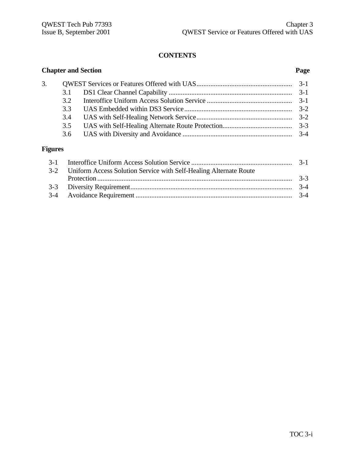**Chapter and Section Page**

| 3. |     |  |
|----|-----|--|
|    |     |  |
|    | 32  |  |
|    | 33  |  |
|    | 3.4 |  |
|    | 3.5 |  |
|    |     |  |

# **Figures**

| 3-2 Uniform Access Solution Service with Self-Healing Alternate Route |  |
|-----------------------------------------------------------------------|--|
|                                                                       |  |
|                                                                       |  |
|                                                                       |  |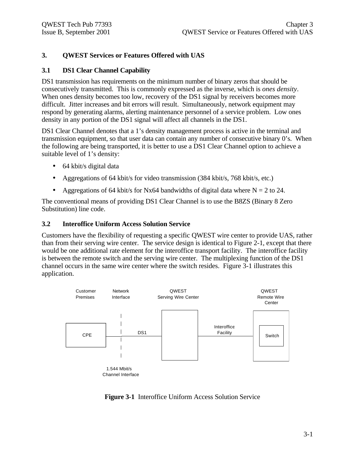### **3. QWEST Services or Features Offered with UAS**

### **3.1 DS1 Clear Channel Capability**

DS1 transmission has requirements on the minimum number of binary zeros that should be consecutively transmitted. This is commonly expressed as the inverse, which is *ones density*. When ones density becomes too low, recovery of the DS1 signal by receivers becomes more difficult. Jitter increases and bit errors will result. Simultaneously, network equipment may respond by generating alarms, alerting maintenance personnel of a service problem. Low ones density in any portion of the DS1 signal will affect all channels in the DS1.

DS1 Clear Channel denotes that a 1's density management process is active in the terminal and transmission equipment, so that user data can contain any number of consecutive binary 0's. When the following are being transported, it is better to use a DS1 Clear Channel option to achieve a suitable level of 1's density:

- 64 kbit/s digital data
- Aggregations of 64 kbit/s for video transmission (384 kbit/s, 768 kbit/s, etc.)
- Aggregations of 64 kbit/s for Nx64 bandwidths of digital data where  $N = 2$  to 24.

The conventional means of providing DS1 Clear Channel is to use the B8ZS (Binary 8 Zero Substitution) line code.

### **3.2 Interoffice Uniform Access Solution Service**

Customers have the flexibility of requesting a specific QWEST wire center to provide UAS, rather than from their serving wire center. The service design is identical to Figure 2-1, except that there would be one additional rate element for the interoffice transport facility. The interoffice facility is between the remote switch and the serving wire center. The multiplexing function of the DS1 channel occurs in the same wire center where the switch resides. Figure 3-1 illustrates this application.



**Figure 3-1** Interoffice Uniform Access Solution Service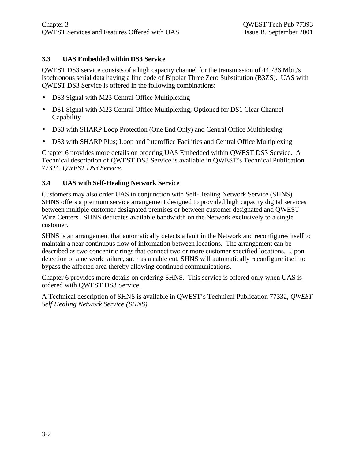### **3.3 UAS Embedded within DS3 Service**

QWEST DS3 service consists of a high capacity channel for the transmission of 44.736 Mbit/s isochronous serial data having a line code of Bipolar Three Zero Substitution (B3ZS). UAS with QWEST DS3 Service is offered in the following combinations:

- DS3 Signal with M23 Central Office Multiplexing
- DS1 Signal with M23 Central Office Multiplexing; Optioned for DS1 Clear Channel **Capability**
- DS3 with SHARP Loop Protection (One End Only) and Central Office Multiplexing
- DS3 with SHARP Plus; Loop and Interoffice Facilities and Central Office Multiplexing

Chapter 6 provides more details on ordering UAS Embedded within QWEST DS3 Service. A Technical description of QWEST DS3 Service is available in QWEST's Technical Publication 77324, *QWEST DS3 Service*.

### **3.4 UAS with Self-Healing Network Service**

Customers may also order UAS in conjunction with Self-Healing Network Service (SHNS). SHNS offers a premium service arrangement designed to provided high capacity digital services between multiple customer designated premises or between customer designated and QWEST Wire Centers. SHNS dedicates available bandwidth on the Network exclusively to a single customer.

SHNS is an arrangement that automatically detects a fault in the Network and reconfigures itself to maintain a near continuous flow of information between locations. The arrangement can be described as two concentric rings that connect two or more customer specified locations. Upon detection of a network failure, such as a cable cut, SHNS will automatically reconfigure itself to bypass the affected area thereby allowing continued communications.

Chapter 6 provides more details on ordering SHNS. This service is offered only when UAS is ordered with QWEST DS3 Service.

A Technical description of SHNS is available in QWEST's Technical Publication 77332, *QWEST Self Healing Network Service (SHNS).*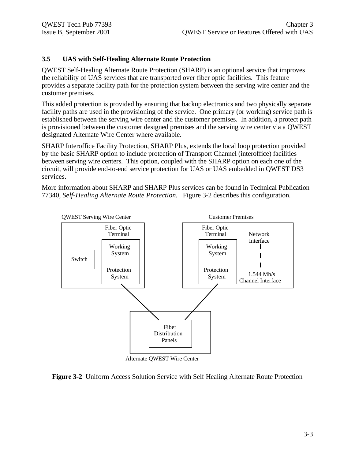### **3.5 UAS with Self-Healing Alternate Route Protection**

QWEST Self-Healing Alternate Route Protection (SHARP) is an optional service that improves the reliability of UAS services that are transported over fiber optic facilities. This feature provides a separate facility path for the protection system between the serving wire center and the customer premises.

This added protection is provided by ensuring that backup electronics and two physically separate facility paths are used in the provisioning of the service. One primary (or working) service path is established between the serving wire center and the customer premises. In addition, a protect path is provisioned between the customer designed premises and the serving wire center via a QWEST designated Alternate Wire Center where available.

SHARP Interoffice Facility Protection, SHARP Plus, extends the local loop protection provided by the basic SHARP option to include protection of Transport Channel (interoffice) facilities between serving wire centers. This option, coupled with the SHARP option on each one of the circuit, will provide end-to-end service protection for UAS or UAS embedded in QWEST DS3 services.

More information about SHARP and SHARP Plus services can be found in Technical Publication 77340, *Self-Healing Alternate Route Protection.* Figure 3-2 describes this configuration.



Alternate QWEST Wire Center

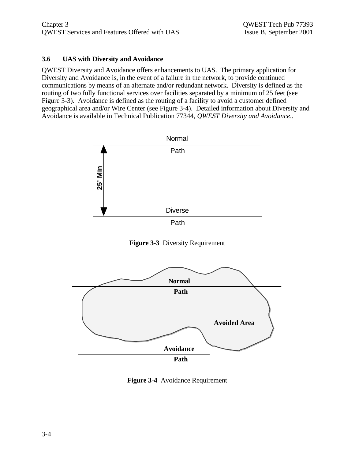### **3.6 UAS with Diversity and Avoidance**

QWEST Diversity and Avoidance offers enhancements to UAS. The primary application for Diversity and Avoidance is, in the event of a failure in the network, to provide continued communications by means of an alternate and/or redundant network. Diversity is defined as the routing of two fully functional services over facilities separated by a minimum of 25 feet (see Figure 3-3). Avoidance is defined as the routing of a facility to avoid a customer defined geographical area and/or Wire Center (see Figure 3-4). Detailed information about Diversity and Avoidance is available in Technical Publication 77344, *QWEST Diversity and Avoidance*..



**Figure 3-3** Diversity Requirement



**Figure 3-4** Avoidance Requirement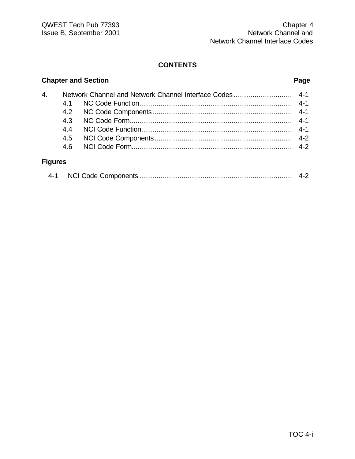# **Chapter and Section Page**

| 4.             |     |  |
|----------------|-----|--|
|                | 41  |  |
|                |     |  |
|                | 43  |  |
|                | 4.4 |  |
|                | 4.5 |  |
|                | 4.6 |  |
| <b>Figures</b> |     |  |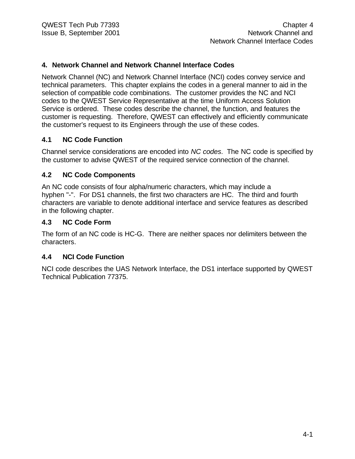### **4. Network Channel and Network Channel Interface Codes**

Network Channel (NC) and Network Channel Interface (NCI) codes convey service and technical parameters. This chapter explains the codes in a general manner to aid in the selection of compatible code combinations. The customer provides the NC and NCI codes to the QWEST Service Representative at the time Uniform Access Solution Service is ordered. These codes describe the channel, the function, and features the customer is requesting. Therefore, QWEST can effectively and efficiently communicate the customer's request to its Engineers through the use of these codes.

### **4.1 NC Code Function**

Channel service considerations are encoded into *NC codes*. The NC code is specified by the customer to advise QWEST of the required service connection of the channel.

### **4.2 NC Code Components**

An NC code consists of four alpha/numeric characters, which may include a hyphen "-". For DS1 channels, the first two characters are HC. The third and fourth characters are variable to denote additional interface and service features as described in the following chapter.

### **4.3 NC Code Form**

The form of an NC code is HC-G. There are neither spaces nor delimiters between the characters.

### **4.4 NCI Code Function**

NCI code describes the UAS Network Interface, the DS1 interface supported by QWEST Technical Publication 77375.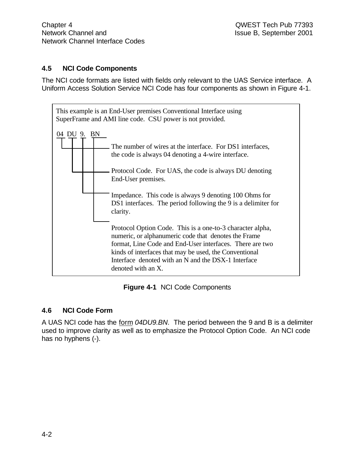# **4.5 NCI Code Components**

The NCI code formats are listed with fields only relevant to the UAS Service interface. A Uniform Access Solution Service NCI Code has four components as shown in Figure 4-1.



**Figure 4-1** NCI Code Components

# **4.6 NCI Code Form**

A UAS NCI code has the form *04DU9.BN*. The period between the 9 and B is a delimiter used to improve clarity as well as to emphasize the Protocol Option Code. An NCI code has no hyphens (-).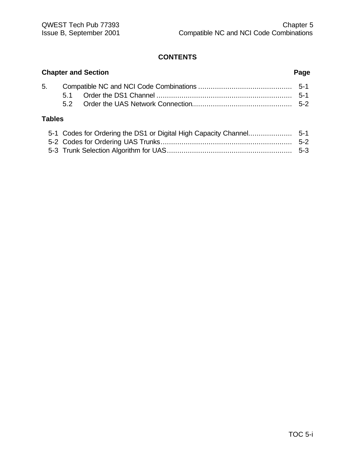|               | <b>Chapter and Section</b><br>Page |  |  |
|---------------|------------------------------------|--|--|
|               |                                    |  |  |
| <b>Tables</b> | 52                                 |  |  |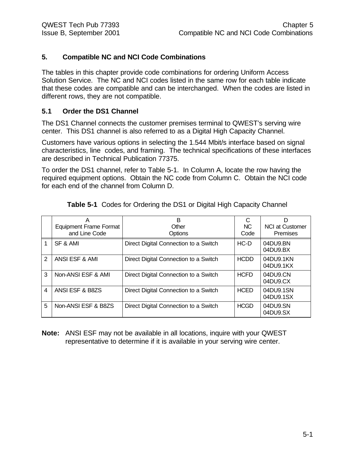### **5. Compatible NC and NCI Code Combinations**

The tables in this chapter provide code combinations for ordering Uniform Access Solution Service. The NC and NCI codes listed in the same row for each table indicate that these codes are compatible and can be interchanged. When the codes are listed in different rows, they are not compatible.

### **5.1 Order the DS1 Channel**

The DS1 Channel connects the customer premises terminal to QWEST's serving wire center. This DS1 channel is also referred to as a Digital High Capacity Channel.

Customers have various options in selecting the 1.544 Mbit/s interface based on signal characteristics, line codes, and framing. The technical specifications of these interfaces are described in Technical Publication 77375.

To order the DS1 channel, refer to Table 5-1. In Column A, locate the row having the required equipment options. Obtain the NC code from Column C. Obtain the NCI code for each end of the channel from Column D.

|               | Α<br><b>Equipment Frame Format</b><br>and Line Code | B<br>Other<br>Options                 | <b>NC</b><br>Code | D<br><b>NCI at Customer</b><br>Premises |
|---------------|-----------------------------------------------------|---------------------------------------|-------------------|-----------------------------------------|
|               | SF & AMI                                            | Direct Digital Connection to a Switch | $HC-D$            | 04DU9.BN<br>04DU9.BX                    |
| $\mathcal{P}$ | ANSI ESF & AMI                                      | Direct Digital Connection to a Switch | <b>HCDD</b>       | 04DU9.1KN<br>04DU9.1KX                  |
| 3             | Non-ANSI ESF & AMI                                  | Direct Digital Connection to a Switch | <b>HCFD</b>       | 04DU9.CN<br>04DU9.CX                    |
| 4             | ANSI ESF & B8ZS                                     | Direct Digital Connection to a Switch | <b>HCED</b>       | 04DU9.1SN<br>04DU9.1SX                  |
| 5             | Non-ANSI ESF & B8ZS                                 | Direct Digital Connection to a Switch | <b>HCGD</b>       | 04DU9.SN<br>04DU9.SX                    |

**Table 5-1** Codes for Ordering the DS1 or Digital High Capacity Channel

**Note:** ANSI ESF may not be available in all locations, inquire with your QWEST representative to determine if it is available in your serving wire center.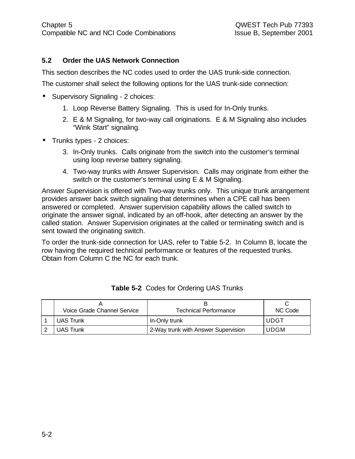# **5.2 Order the UAS Network Connection**

This section describes the NC codes used to order the UAS trunk-side connection.

The customer shall select the following options for the UAS trunk-side connection:

- Supervisory Signaling 2 choices:
	- 1. Loop Reverse Battery Signaling. This is used for In-Only trunks.
	- 2. E & M Signaling, for two-way call originations. E & M Signaling also includes "Wink Start" signaling.
- Trunks types 2 choices:
	- 3. In-Only trunks. Calls originate from the switch into the customer's terminal using loop reverse battery signaling.
	- 4. Two-way trunks with Answer Supervision. Calls may originate from either the switch or the customer's terminal using E & M Signaling.

Answer Supervision is offered with Two-way trunks only. This unique trunk arrangement provides answer back switch signaling that determines when a CPE call has been answered or completed. Answer supervision capability allows the called switch to originate the answer signal, indicated by an off-hook, after detecting an answer by the called station. Answer Supervision originates at the called or terminating switch and is sent toward the originating switch.

To order the trunk-side connection for UAS, refer to Table 5-2. In Column B, locate the row having the required technical performance or features of the requested trunks. Obtain from Column C the NC for each trunk.

| Voice Grade Channel Service | Technical Performance               | NC Code     |
|-----------------------------|-------------------------------------|-------------|
| <b>UAS Trunk</b>            | In-Only trunk                       | <b>UDGT</b> |
| <b>UAS Trunk</b>            | 2-Way trunk with Answer Supervision | <b>UDGM</b> |

|  | Table 5-2 Codes for Ordering UAS Trunks |  |  |  |
|--|-----------------------------------------|--|--|--|
|--|-----------------------------------------|--|--|--|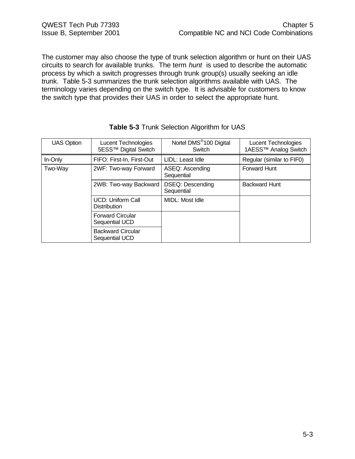The customer may also choose the type of trunk selection algorithm or hunt on their UAS circuits to search for available trunks. The term *hunt* is used to describe the automatic process by which a switch progresses through trunk group(s) usually seeking an idle trunk. Table 5-3 summarizes the trunk selection algorithms available with UAS. The terminology varies depending on the switch type. It is advisable for customers to know the switch type that provides their UAS in order to select the appropriate hunt.

| <b>UAS Option</b> | Lucent Technologies<br>5ESS™ Digital Switch     | Nortel DMS <sup>®</sup> 100 Digital<br>Switch | <b>Lucent Technologies</b><br>1AESS <sup>™</sup> Analog Switch |
|-------------------|-------------------------------------------------|-----------------------------------------------|----------------------------------------------------------------|
| In-Only           | FIFO: First-In, First-Out                       | LIDL: Least Idle                              | Regular (similar to FIF0)                                      |
| Two-Way           | 2WF: Two-way Forward                            | ASEQ: Ascending<br>Sequential                 | <b>Forward Hunt</b>                                            |
|                   | 2WB: Two-way Backward                           | <b>DSEQ: Descending</b><br>Sequential         | <b>Backward Hunt</b>                                           |
|                   | <b>UCD: Uniform Call</b><br><b>Distribution</b> | MIDL: Most Idle                               |                                                                |
|                   | <b>Forward Circular</b><br>Sequential UCD       |                                               |                                                                |
|                   | <b>Backward Circular</b><br>Sequential UCD      |                                               |                                                                |

| Table 5-3 Trunk Selection Algorithm for UAS |  |
|---------------------------------------------|--|
|---------------------------------------------|--|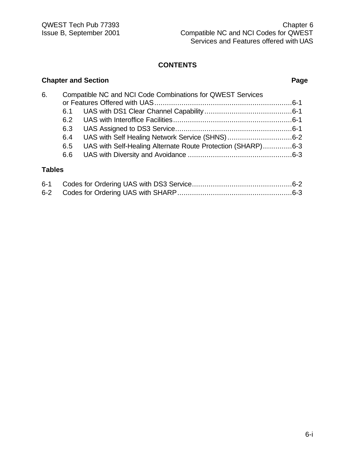# **Chapter and Section Page**

| 6. | Compatible NC and NCI Code Combinations for QWEST Services |                                                             |  |
|----|------------------------------------------------------------|-------------------------------------------------------------|--|
|    |                                                            |                                                             |  |
|    |                                                            |                                                             |  |
|    | 6.2                                                        |                                                             |  |
|    | 6.3                                                        |                                                             |  |
|    | 6.4                                                        |                                                             |  |
|    | 6.5                                                        | UAS with Self-Healing Alternate Route Protection (SHARP)6-3 |  |
|    | 6.6                                                        |                                                             |  |
|    |                                                            |                                                             |  |

# **Tables**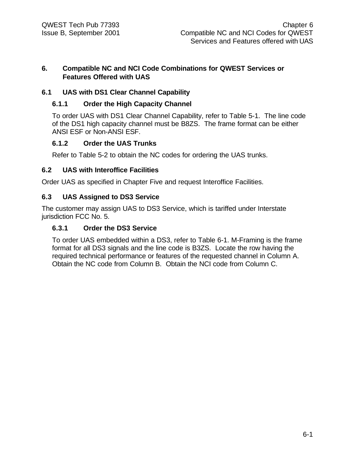### **6. Compatible NC and NCI Code Combinations for QWEST Services or Features Offered with UAS**

# **6.1 UAS with DS1 Clear Channel Capability**

# **6.1.1 Order the High Capacity Channel**

To order UAS with DS1 Clear Channel Capability, refer to Table 5-1. The line code of the DS1 high capacity channel must be B8ZS. The frame format can be either ANSI ESF or Non-ANSI ESF.

# **6.1.2 Order the UAS Trunks**

Refer to Table 5-2 to obtain the NC codes for ordering the UAS trunks.

# **6.2 UAS with Interoffice Facilities**

Order UAS as specified in Chapter Five and request Interoffice Facilities.

# **6.3 UAS Assigned to DS3 Service**

The customer may assign UAS to DS3 Service, which is tariffed under Interstate jurisdiction FCC No. 5.

# **6.3.1 Order the DS3 Service**

To order UAS embedded within a DS3, refer to Table 6-1. M-Framing is the frame format for all DS3 signals and the line code is B3ZS. Locate the row having the required technical performance or features of the requested channel in Column A. Obtain the NC code from Column B. Obtain the NCI code from Column C.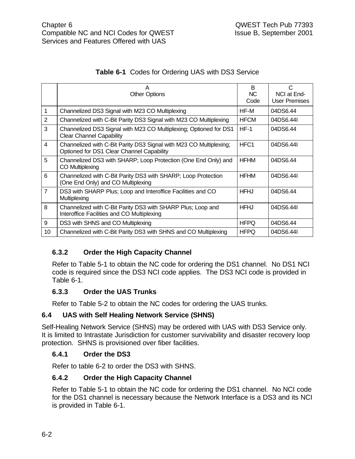| Table 6-1 Codes for Ordering UAS with DS3 Service |  |
|---------------------------------------------------|--|
|---------------------------------------------------|--|

|                | А<br><b>Other Options</b>                                                                                       | B<br>NC.<br>Code | C<br>NCI at End-<br><b>User Premises</b> |
|----------------|-----------------------------------------------------------------------------------------------------------------|------------------|------------------------------------------|
|                | Channelized DS3 Signal with M23 CO Multiplexing                                                                 | HF-M             | 04DS6.44                                 |
| $\overline{2}$ | Channelized with C-Bit Parity DS3 Signal with M23 CO Multiplexing                                               | <b>HFCM</b>      | 04DS6.44I                                |
| 3              | Channelized DS3 Signal with M23 CO Multiplexing; Optioned for DS1<br><b>Clear Channel Capability</b>            | $HF-1$           | 04DS6.44                                 |
| $\overline{4}$ | Channelized with C-Bit Parity DS3 Signal with M23 CO Multiplexing;<br>Optioned for DS1 Clear Channel Capability | HFC <sub>1</sub> | 04DS6.44I                                |
| 5              | Channelized DS3 with SHARP; Loop Protection (One End Only) and<br>CO Multiplexing                               | <b>HFHM</b>      | 04DS6.44                                 |
| 6              | Channelized with C-Bit Parity DS3 with SHARP; Loop Protection<br>(One End Only) and CO Multiplexing             | <b>HFHM</b>      | 04DS6.44I                                |
| $\overline{7}$ | DS3 with SHARP Plus; Loop and Interoffice Facilities and CO<br>Multiplexing                                     | <b>HFHJ</b>      | 04DS6.44                                 |
| 8              | Channelized with C-Bit Parity DS3 with SHARP Plus; Loop and<br>Interoffice Facilities and CO Multiplexing       | <b>HFHJ</b>      | 04DS6.44I                                |
| 9              | DS3 with SHNS and CO Multiplexing                                                                               | <b>HFPQ</b>      | 04DS6.44                                 |
| 10             | Channelized with C-Bit Parity DS3 with SHNS and CO Multiplexing                                                 | <b>HFPQ</b>      | 04DS6.44                                 |

# **6.3.2 Order the High Capacity Channel**

Refer to Table 5-1 to obtain the NC code for ordering the DS1 channel. No DS1 NCI code is required since the DS3 NCI code applies. The DS3 NCI code is provided in Table 6-1.

# **6.3.3 Order the UAS Trunks**

Refer to Table 5-2 to obtain the NC codes for ordering the UAS trunks.

### **6.4 UAS with Self Healing Network Service (SHNS)**

Self-Healing Network Service (SHNS) may be ordered with UAS with DS3 Service only. It is limited to Intrastate Jurisdiction for customer survivability and disaster recovery loop protection. SHNS is provisioned over fiber facilities.

### **6.4.1 Order the DS3**

Refer to table 6-2 to order the DS3 with SHNS.

# **6.4.2 Order the High Capacity Channel**

Refer to Table 5-1 to obtain the NC code for ordering the DS1 channel. No NCI code for the DS1 channel is necessary because the Network Interface is a DS3 and its NCI is provided in Table 6-1.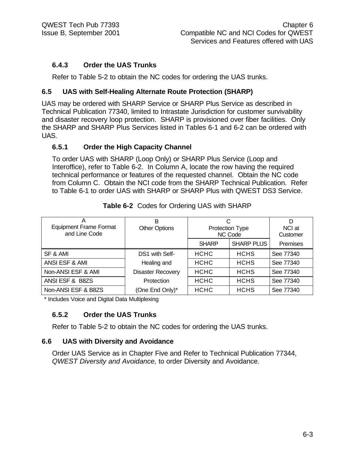# **6.4.3 Order the UAS Trunks**

Refer to Table 5-2 to obtain the NC codes for ordering the UAS trunks.

# **6.5 UAS with Self-Healing Alternate Route Protection (SHARP)**

UAS may be ordered with SHARP Service or SHARP Plus Service as described in Technical Publication 77340, limited to Intrastate Jurisdiction for customer survivability and disaster recovery loop protection. SHARP is provisioned over fiber facilities. Only the SHARP and SHARP Plus Services listed in Tables 6-1 and 6-2 can be ordered with UAS.

### **6.5.1 Order the High Capacity Channel**

To order UAS with SHARP (Loop Only) or SHARP Plus Service (Loop and Interoffice), refer to Table 6-2. In Column A, locate the row having the required technical performance or features of the requested channel. Obtain the NC code from Column C. Obtain the NCI code from the SHARP Technical Publication. Refer to Table 6-1 to order UAS with SHARP or SHARP Plus with QWEST DS3 Service.

| <b>Equipment Frame Format</b><br>and Line Code | в<br><b>Other Options</b> | С<br><b>Protection Type</b><br>NC Code |                   | D<br>NCI at<br>Customer |
|------------------------------------------------|---------------------------|----------------------------------------|-------------------|-------------------------|
|                                                |                           | <b>SHARP</b>                           | <b>SHARP PLUS</b> | <b>Premises</b>         |
| SF & AMI                                       | DS1 with Self-            | <b>HCHC</b>                            | <b>HCHS</b>       | See 77340               |
| ANSI ESF & AMI                                 | Healing and               | <b>HCHC</b>                            | <b>HCHS</b>       | See 77340               |
| Non-ANSI ESF & AMI                             | <b>Disaster Recovery</b>  | <b>HCHC</b>                            | <b>HCHS</b>       | See 77340               |
| ANSI ESF & B8ZS                                | Protection                | <b>HCHC</b>                            | <b>HCHS</b>       | See 77340               |
| Non-ANSI ESF & B8ZS                            | (One End Only)*           | <b>HCHC</b>                            | <b>HCHS</b>       | See 77340               |

|  |  |  |  | Table 6-2 Codes for Ordering UAS with SHARP |
|--|--|--|--|---------------------------------------------|
|--|--|--|--|---------------------------------------------|

\* Includes Voice and Digital Data Multiplexing

# **6.5.2 Order the UAS Trunks**

Refer to Table 5-2 to obtain the NC codes for ordering the UAS trunks.

# **6.6 UAS with Diversity and Avoidance**

Order UAS Service as in Chapter Five and Refer to Technical Publication 77344, *QWEST Diversity and Avoidance,* to order Diversity and Avoidance.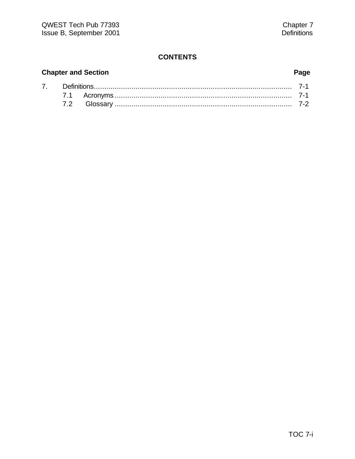# **Chapter and Section Page**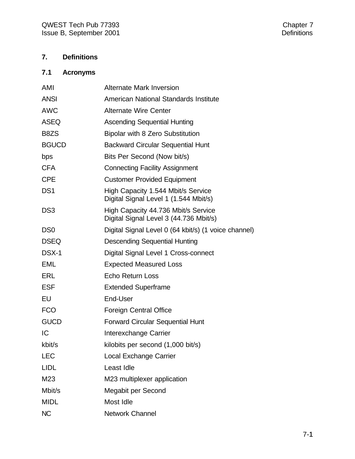# **7. Definitions**

# **7.1 Acronyms**

| AMI             | <b>Alternate Mark Inversion</b>                                               |
|-----------------|-------------------------------------------------------------------------------|
| <b>ANSI</b>     | American National Standards Institute                                         |
| <b>AWC</b>      | <b>Alternate Wire Center</b>                                                  |
| <b>ASEQ</b>     | <b>Ascending Sequential Hunting</b>                                           |
| B8ZS            | <b>Bipolar with 8 Zero Substitution</b>                                       |
| <b>BGUCD</b>    | <b>Backward Circular Sequential Hunt</b>                                      |
| bps             | Bits Per Second (Now bit/s)                                                   |
| <b>CFA</b>      | <b>Connecting Facility Assignment</b>                                         |
| <b>CPE</b>      | <b>Customer Provided Equipment</b>                                            |
| DS <sub>1</sub> | High Capacity 1.544 Mbit/s Service<br>Digital Signal Level 1 (1.544 Mbit/s)   |
| DS <sub>3</sub> | High Capacity 44.736 Mbit/s Service<br>Digital Signal Level 3 (44.736 Mbit/s) |
| D <sub>S0</sub> | Digital Signal Level 0 (64 kbit/s) (1 voice channel)                          |
| <b>DSEQ</b>     | <b>Descending Sequential Hunting</b>                                          |
| DSX-1           | Digital Signal Level 1 Cross-connect                                          |
| <b>EML</b>      | <b>Expected Measured Loss</b>                                                 |
| ERL             | Echo Return Loss                                                              |
| <b>ESF</b>      | <b>Extended Superframe</b>                                                    |
| EU              | End-User                                                                      |
| <b>FCO</b>      | <b>Foreign Central Office</b>                                                 |
| <b>GUCD</b>     | <b>Forward Circular Sequential Hunt</b>                                       |
| IC              | Interexchange Carrier                                                         |
| kbit/s          | kilobits per second (1,000 bit/s)                                             |
| <b>LEC</b>      | <b>Local Exchange Carrier</b>                                                 |
| <b>LIDL</b>     | Least Idle                                                                    |
| M23             | M23 multiplexer application                                                   |
| Mbit/s          | Megabit per Second                                                            |
| <b>MIDL</b>     | Most Idle                                                                     |
| <b>NC</b>       | <b>Network Channel</b>                                                        |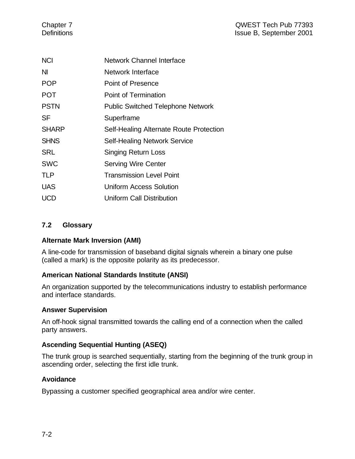| <b>NCI</b>   | Network Channel Interface                |
|--------------|------------------------------------------|
| ΝI           | Network Interface                        |
| <b>POP</b>   | <b>Point of Presence</b>                 |
| <b>POT</b>   | Point of Termination                     |
| <b>PSTN</b>  | <b>Public Switched Telephone Network</b> |
| SF           | Superframe                               |
| <b>SHARP</b> | Self-Healing Alternate Route Protection  |
| <b>SHNS</b>  | <b>Self-Healing Network Service</b>      |
| <b>SRL</b>   | <b>Singing Return Loss</b>               |
| <b>SWC</b>   | <b>Serving Wire Center</b>               |
| <b>TLP</b>   | <b>Transmission Level Point</b>          |
| <b>UAS</b>   | Uniform Access Solution                  |
| UCD          | Uniform Call Distribution                |

# **7.2 Glossary**

# **Alternate Mark Inversion (AMI)**

A line-code for transmission of baseband digital signals wherein a binary one pulse (called a mark) is the opposite polarity as its predecessor.

### **American National Standards Institute (ANSI)**

An organization supported by the telecommunications industry to establish performance and interface standards.

### **Answer Supervision**

An off-hook signal transmitted towards the calling end of a connection when the called party answers.

### **Ascending Sequential Hunting (ASEQ)**

The trunk group is searched sequentially, starting from the beginning of the trunk group in ascending order, selecting the first idle trunk.

### **Avoidance**

Bypassing a customer specified geographical area and/or wire center.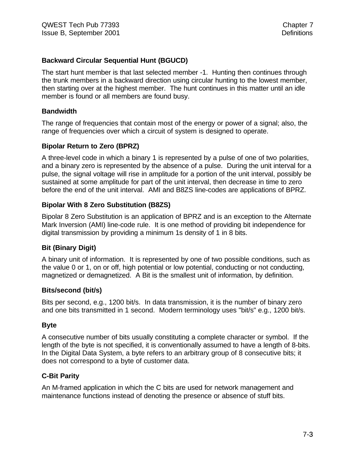### **Backward Circular Sequential Hunt (BGUCD)**

The start hunt member is that last selected member -1. Hunting then continues through the trunk members in a backward direction using circular hunting to the lowest member, then starting over at the highest member. The hunt continues in this matter until an idle member is found or all members are found busy.

### **Bandwidth**

The range of frequencies that contain most of the energy or power of a signal; also, the range of frequencies over which a circuit of system is designed to operate.

### **Bipolar Return to Zero (BPRZ)**

A three-level code in which a binary 1 is represented by a pulse of one of two polarities, and a binary zero is represented by the absence of a pulse. During the unit interval for a pulse, the signal voltage will rise in amplitude for a portion of the unit interval, possibly be sustained at some amplitude for part of the unit interval, then decrease in time to zero before the end of the unit interval. AMI and B8ZS line-codes are applications of BPRZ.

### **Bipolar With 8 Zero Substitution (B8ZS)**

Bipolar 8 Zero Substitution is an application of BPRZ and is an exception to the Alternate Mark Inversion (AMI) line-code rule. It is one method of providing bit independence for digital transmission by providing a minimum 1s density of 1 in 8 bits.

### **Bit (Binary Digit)**

A binary unit of information. It is represented by one of two possible conditions, such as the value 0 or 1, on or off, high potential or low potential, conducting or not conducting, magnetized or demagnetized. A Bit is the smallest unit of information, by definition.

### **Bits/second (bit/s)**

Bits per second, e.g., 1200 bit/s. In data transmission, it is the number of binary zero and one bits transmitted in 1 second. Modern terminology uses "bit/s" e.g., 1200 bit/s.

### **Byte**

A consecutive number of bits usually constituting a complete character or symbol. If the length of the byte is not specified, it is conventionally assumed to have a length of 8-bits. In the Digital Data System, a byte refers to an arbitrary group of 8 consecutive bits; it does not correspond to a byte of customer data.

### **C-Bit Parity**

An M-framed application in which the C bits are used for network management and maintenance functions instead of denoting the presence or absence of stuff bits.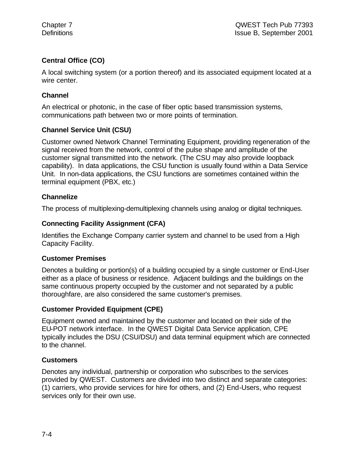# **Central Office (CO)**

A local switching system (or a portion thereof) and its associated equipment located at a wire center.

# **Channel**

An electrical or photonic, in the case of fiber optic based transmission systems, communications path between two or more points of termination.

# **Channel Service Unit (CSU)**

Customer owned Network Channel Terminating Equipment, providing regeneration of the signal received from the network, control of the pulse shape and amplitude of the customer signal transmitted into the network. (The CSU may also provide loopback capability). In data applications, the CSU function is usually found within a Data Service Unit. In non-data applications, the CSU functions are sometimes contained within the terminal equipment (PBX, etc.)

# **Channelize**

The process of multiplexing-demultiplexing channels using analog or digital techniques.

# **Connecting Facility Assignment (CFA)**

Identifies the Exchange Company carrier system and channel to be used from a High Capacity Facility.

# **Customer Premises**

Denotes a building or portion(s) of a building occupied by a single customer or End-User either as a place of business or residence. Adjacent buildings and the buildings on the same continuous property occupied by the customer and not separated by a public thoroughfare, are also considered the same customer's premises.

# **Customer Provided Equipment (CPE)**

Equipment owned and maintained by the customer and located on their side of the EU-POT network interface. In the QWEST Digital Data Service application, CPE typically includes the DSU (CSU/DSU) and data terminal equipment which are connected to the channel.

# **Customers**

Denotes any individual, partnership or corporation who subscribes to the services provided by QWEST. Customers are divided into two distinct and separate categories: (1) carriers, who provide services for hire for others, and (2) End-Users, who request services only for their own use.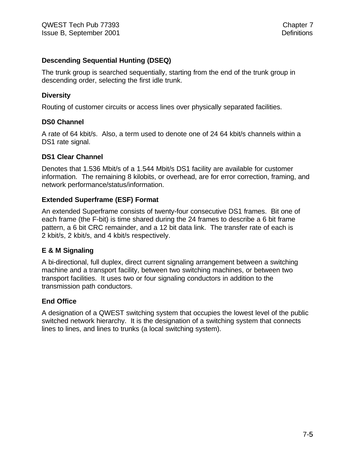### **Descending Sequential Hunting (DSEQ)**

The trunk group is searched sequentially, starting from the end of the trunk group in descending order, selecting the first idle trunk.

### **Diversity**

Routing of customer circuits or access lines over physically separated facilities.

### **DS0 Channel**

A rate of 64 kbit/s. Also, a term used to denote one of 24 64 kbit/s channels within a DS1 rate signal.

### **DS1 Clear Channel**

Denotes that 1.536 Mbit/s of a 1.544 Mbit/s DS1 facility are available for customer information. The remaining 8 kilobits, or overhead, are for error correction, framing, and network performance/status/information.

### **Extended Superframe (ESF) Format**

An extended Superframe consists of twenty-four consecutive DS1 frames. Bit one of each frame (the F-bit) is time shared during the 24 frames to describe a 6 bit frame pattern, a 6 bit CRC remainder, and a 12 bit data link. The transfer rate of each is 2 kbit/s, 2 kbit/s, and 4 kbit/s respectively.

### **E & M Signaling**

A bi-directional, full duplex, direct current signaling arrangement between a switching machine and a transport facility, between two switching machines, or between two transport facilities. It uses two or four signaling conductors in addition to the transmission path conductors.

### **End Office**

A designation of a QWEST switching system that occupies the lowest level of the public switched network hierarchy. It is the designation of a switching system that connects lines to lines, and lines to trunks (a local switching system).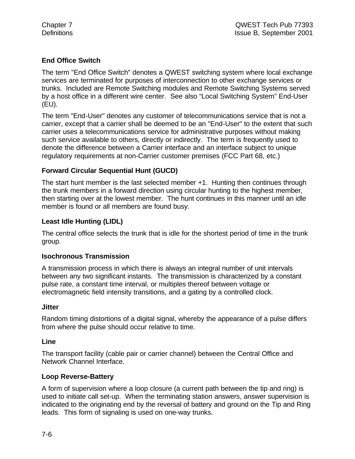# **End Office Switch**

The term "End Office Switch" denotes a QWEST switching system where local exchange services are terminated for purposes of interconnection to other exchange services or trunks. Included are Remote Switching modules and Remote Switching Systems served by a host office in a different wire center. See also "Local Switching System" End-User (EU).

The term "End-User" denotes any customer of telecommunications service that is not a carrier, except that a carrier shall be deemed to be an "End-User" to the extent that such carrier uses a telecommunications service for administrative purposes without making such service available to others, directly or indirectly. The term is frequently used to denote the difference between a Carrier interface and an interface subject to unique regulatory requirements at non-Carrier customer premises (FCC Part 68, etc.)

# **Forward Circular Sequential Hunt (GUCD)**

The start hunt member is the last selected member +1. Hunting then continues through the trunk members in a forward direction using circular hunting to the highest member, then starting over at the lowest member. The hunt continues in this manner until an idle member is found or all members are found busy.

# **Least Idle Hunting (LIDL)**

The central office selects the trunk that is idle for the shortest period of time in the trunk group.

### **Isochronous Transmission**

A transmission process in which there is always an integral number of unit intervals between any two significant instants. The transmission is characterized by a constant pulse rate, a constant time interval, or multiples thereof between voltage or electromagnetic field intensity transitions, and a gating by a controlled clock.

### **Jitter**

Random timing distortions of a digital signal, whereby the appearance of a pulse differs from where the pulse should occur relative to time.

### **Line**

The transport facility (cable pair or carrier channel) between the Central Office and Network Channel Interface.

### **Loop Reverse-Battery**

A form of supervision where a loop closure (a current path between the tip and ring) is used to initiate call set-up. When the terminating station answers, answer supervision is indicated to the originating end by the reversal of battery and ground on the Tip and Ring leads. This form of signaling is used on one-way trunks.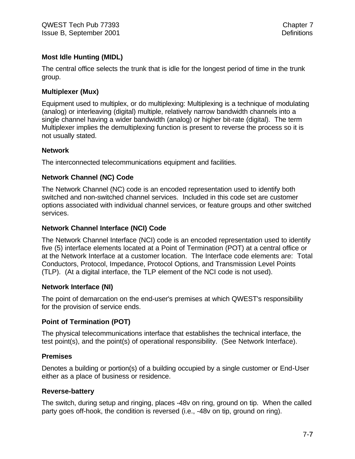# **Most Idle Hunting (MIDL)**

The central office selects the trunk that is idle for the longest period of time in the trunk group.

# **Multiplexer (Mux)**

Equipment used to multiplex, or do multiplexing: Multiplexing is a technique of modulating (analog) or interleaving (digital) multiple, relatively narrow bandwidth channels into a single channel having a wider bandwidth (analog) or higher bit-rate (digital). The term Multiplexer implies the demultiplexing function is present to reverse the process so it is not usually stated.

# **Network**

The interconnected telecommunications equipment and facilities.

# **Network Channel (NC) Code**

The Network Channel (NC) code is an encoded representation used to identify both switched and non-switched channel services. Included in this code set are customer options associated with individual channel services, or feature groups and other switched services.

# **Network Channel Interface (NCI) Code**

The Network Channel Interface (NCI) code is an encoded representation used to identify five (5) interface elements located at a Point of Termination (POT) at a central office or at the Network Interface at a customer location. The Interface code elements are: Total Conductors, Protocol, Impedance, Protocol Options, and Transmission Level Points (TLP). (At a digital interface, the TLP element of the NCI code is not used).

# **Network Interface (NI)**

The point of demarcation on the end-user's premises at which QWEST's responsibility for the provision of service ends.

# **Point of Termination (POT)**

The physical telecommunications interface that establishes the technical interface, the test point(s), and the point(s) of operational responsibility. (See Network Interface).

# **Premises**

Denotes a building or portion(s) of a building occupied by a single customer or End-User either as a place of business or residence.

# **Reverse-battery**

The switch, during setup and ringing, places -48v on ring, ground on tip. When the called party goes off-hook, the condition is reversed (i.e., -48v on tip, ground on ring).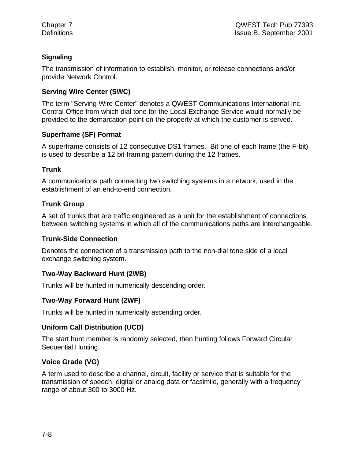# **Signaling**

The transmission of information to establish, monitor, or release connections and/or provide Network Control.

# **Serving Wire Center (SWC)**

The term "Serving Wire Center" denotes a QWEST Communications International Inc. Central Office from which dial tone for the Local Exchange Service would normally be provided to the demarcation point on the property at which the customer is served.

# **Superframe (SF) Format**

A superframe consists of 12 consecutive DS1 frames. Bit one of each frame (the F-bit) is used to describe a 12 bit-framing pattern during the 12 frames.

# **Trunk**

A communications path connecting two switching systems in a network, used in the establishment of an end-to-end connection.

# **Trunk Group**

A set of trunks that are traffic engineered as a unit for the establishment of connections between switching systems in which all of the communications paths are interchangeable.

# **Trunk-Side Connection**

Denotes the connection of a transmission path to the non-dial tone side of a local exchange switching system.

# **Two-Way Backward Hunt (2WB)**

Trunks will be hunted in numerically descending order.

# **Two-Way Forward Hunt (2WF)**

Trunks will be hunted in numerically ascending order.

# **Uniform Call Distribution (UCD)**

The start hunt member is randomly selected, then hunting follows Forward Circular Sequential Hunting.

# **Voice Grade (VG)**

A term used to describe a channel, circuit, facility or service that is suitable for the transmission of speech, digital or analog data or facsimile, generally with a frequency range of about 300 to 3000 Hz.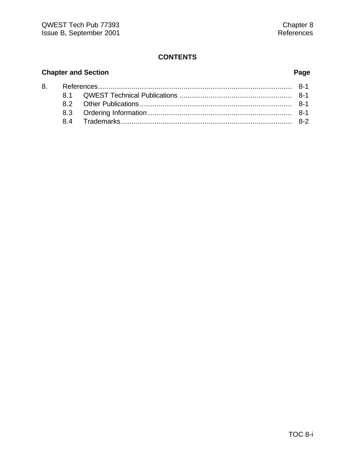# **Chapter and Section Page**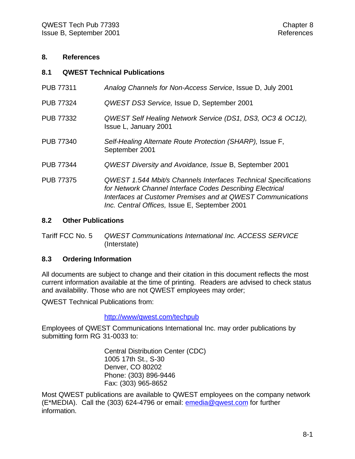### **8. References**

### **8.1 QWEST Technical Publications**

| <b>PUB 77311</b> | Analog Channels for Non-Access Service, Issue D, July 2001                                                                                                                                                                                   |
|------------------|----------------------------------------------------------------------------------------------------------------------------------------------------------------------------------------------------------------------------------------------|
| <b>PUB 77324</b> | QWEST DS3 Service, Issue D, September 2001                                                                                                                                                                                                   |
| <b>PUB 77332</b> | QWEST Self Healing Network Service (DS1, DS3, OC3 & OC12),<br>Issue L, January 2001                                                                                                                                                          |
| <b>PUB 77340</b> | Self-Healing Alternate Route Protection (SHARP), Issue F,<br>September 2001                                                                                                                                                                  |
| <b>PUB 77344</b> | <b>QWEST Diversity and Avoidance, Issue B, September 2001</b>                                                                                                                                                                                |
| <b>PUB 77375</b> | QWEST 1.544 Mbit/s Channels Interfaces Technical Specifications<br>for Network Channel Interface Codes Describing Electrical<br>Interfaces at Customer Premises and at QWEST Communications<br>Inc. Central Offices, Issue E, September 2001 |

### **8.2 Other Publications**

Tariff FCC No. 5 *QWEST Communications International Inc. ACCESS SERVICE* (Interstate)

### **8.3 Ordering Information**

All documents are subject to change and their citation in this document reflects the most current information available at the time of printing. Readers are advised to check status and availability. Those who are not QWEST employees may order;

QWEST Technical Publications from:

http://www/qwest.com/techpub

Employees of QWEST Communications International Inc. may order publications by submitting form RG 31-0033 to:

> Central Distribution Center (CDC) 1005 17th St., S-30 Denver, CO 80202 Phone: (303) 896-9446 Fax: (303) 965-8652

Most QWEST publications are available to QWEST employees on the company network (E\*MEDIA). Call the (303) 624-4796 or email: emedia@qwest.com for further information.